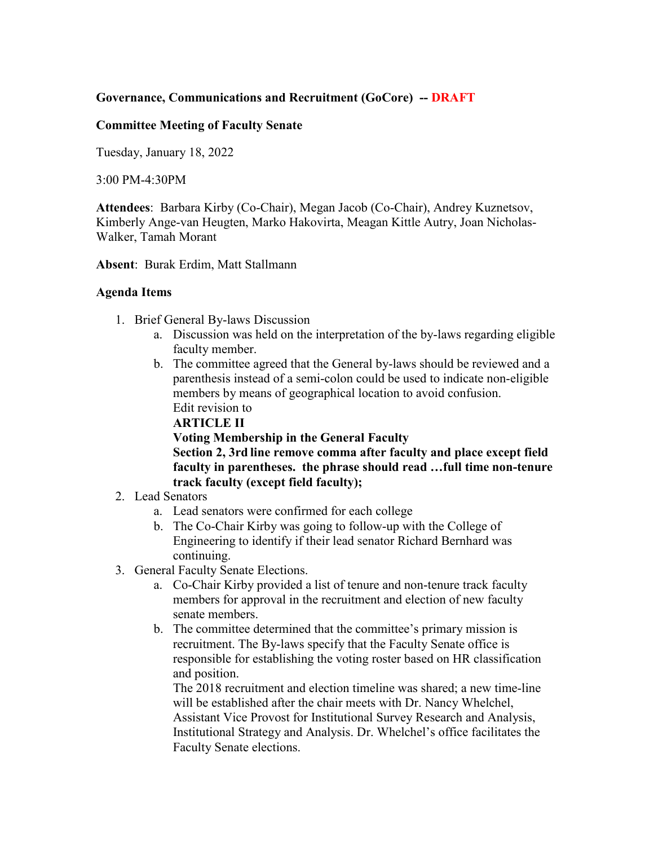## **Governance, Communications and Recruitment (GoCore) -- DRAFT**

## **Committee Meeting of Faculty Senate**

Tuesday, January 18, 2022

3:00 PM-4:30PM

**Attendees**: Barbara Kirby (Co-Chair), Megan Jacob (Co-Chair), Andrey Kuznetsov, Kimberly Ange-van Heugten, Marko Hakovirta, Meagan Kittle Autry, Joan Nicholas-Walker, Tamah Morant

**Absent**: Burak Erdim, Matt Stallmann

## **Agenda Items**

- 1. Brief General By-laws Discussion
	- a. Discussion was held on the interpretation of the by-laws regarding eligible faculty member.
	- b. The committee agreed that the General by-laws should be reviewed and a parenthesis instead of a semi-colon could be used to indicate non-eligible members by means of geographical location to avoid confusion. Edit revision to

**ARTICLE II**

**Voting Membership in the General Faculty**

**Section 2, 3rd line remove comma after faculty and place except field faculty in parentheses. the phrase should read …full time non-tenure track faculty (except field faculty);** 

- 2. Lead Senators
	- a. Lead senators were confirmed for each college
	- b. The Co-Chair Kirby was going to follow-up with the College of Engineering to identify if their lead senator Richard Bernhard was continuing.
- 3. General Faculty Senate Elections.
	- a. Co-Chair Kirby provided a list of tenure and non-tenure track faculty members for approval in the recruitment and election of new faculty senate members.
	- b. The committee determined that the committee's primary mission is recruitment. The By-laws specify that the Faculty Senate office is responsible for establishing the voting roster based on HR classification and position.

The 2018 recruitment and election timeline was shared; a new time-line will be established after the chair meets with Dr. Nancy Whelchel, Assistant Vice Provost for Institutional Survey Research and Analysis, Institutional Strategy and Analysis. Dr. Whelchel's office facilitates the Faculty Senate elections.